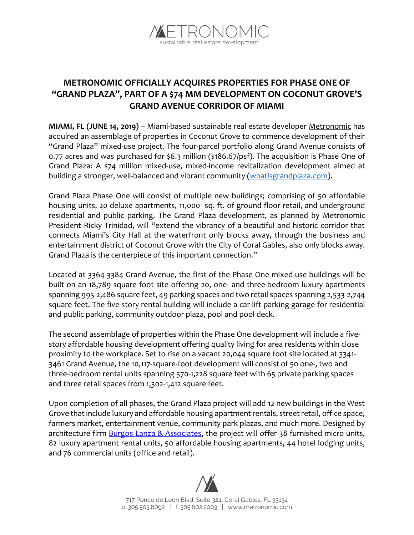

## **METRONOMIC OFFICIALLY ACQUIRES PROPERTIES FOR PHASE ONE OF "GRAND PLAZA", PART OF A \$74 MM DEVELOPMENT ON COCONUT GROVE'S GRAND AVENUE CORRIDOR OF MIAMI**

**MIAMI, FL (JUNE 14, 2019)** – Miami-based sustainable real estate developer [Metronomic](https://www.metronomicinc.com/) has acquired an assemblage of properties in Coconut Grove to commence development of their "Grand Plaza" mixed-use project. The four-parcel portfolio along Grand Avenue consists of 0.77 acres and was purchased for \$6.3 million (\$186.67/psf). The acquisition is Phase One of Grand Plaza: A \$74 million mixed-use, mixed-income revitalization development aimed at building a stronger, well-balanced and vibrant community [\(whatisgrandplaza.com\)](http://www.whatisgrandplaza.com/).

Grand Plaza Phase One will consist of multiple new buildings; comprising of 50 affordable housing units, 20 deluxe apartments, 11,000 sq. ft. of ground floor retail, and underground residential and public parking. The Grand Plaza development, as planned by Metronomic President Ricky Trinidad, will "extend the vibrancy of a beautiful and historic corridor that connects Miami's City Hall at the waterfront only blocks away, through the business and entertainment district of Coconut Grove with the City of Coral Gables, also only blocks away. Grand Plaza is the centerpiece of this important connection."

Located at 3364-3384 Grand Avenue, the first of the Phase One mixed-use buildings will be built on an 18,789 square foot site offering 20, one- and three-bedroom luxury apartments spanning 995-2,486 square feet, 49 parking spaces and two retail spaces spanning 2,533-2,744 square feet. The five-story rental building will include a car-lift parking garage for residential and public parking, community outdoor plaza, pool and pool deck.

The second assemblage of properties within the Phase One development will include a fivestory affordable housing development offering quality living for area residents within close proximity to the workplace. Set to rise on a vacant 20,044 square foot site located at 3341- 3461 Grand Avenue, the 10,117-square-foot development will consist of 50 one-, two and three-bedroom rental units spanning 570-1,228 square feet with 65 private parking spaces and three retail spaces from 1,302-1,412 square feet.

Upon completion of all phases, the Grand Plaza project will add 12 new buildings in the West Grove that include luxury and affordable housing apartment rentals, street retail, office space, farmers market, entertainment venue, community park plazas, and much more. Designed by architecture firm **Burgos Lanza & Associates**, the project will offer 38 furnished micro units, 82 luxury apartment rental units, 50 affordable housing apartments, 44 hotel lodging units, and 76 commercial units (office and retail).